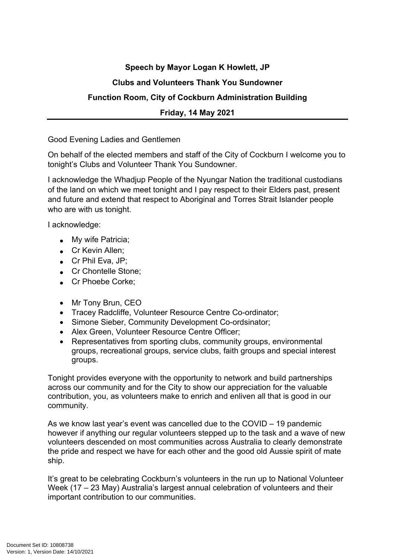## **Speech by Mayor Logan K Howlett, JP**

## **Clubs and Volunteers Thank You Sundowner**

## **Function Room, City of Cockburn Administration Building**

## **Friday, 14 May 2021**

Good Evening Ladies and Gentlemen

On behalf of the elected members and staff of the City of Cockburn I welcome you to tonight's Clubs and Volunteer Thank You Sundowner.

I acknowledge the Whadjup People of the Nyungar Nation the traditional custodians of the land on which we meet tonight and I pay respect to their Elders past, present and future and extend that respect to Aboriginal and Torres Strait Islander people who are with us tonight.

I acknowledge:

- My wife Patricia;
- **Cr Kevin Allen;**
- Cr Phil Eva, JP;
- Cr Chontelle Stone:
- Cr Phoebe Corke;
- Mr Tony Brun, CEO
- Tracey Radcliffe, Volunteer Resource Centre Co-ordinator;
- Simone Sieber, Community Development Co-ordsinator;
- Alex Green, Volunteer Resource Centre Officer;
- Representatives from sporting clubs, community groups, environmental groups, recreational groups, service clubs, faith groups and special interest groups.

Tonight provides everyone with the opportunity to network and build partnerships across our community and for the City to show our appreciation for the valuable contribution, you, as volunteers make to enrich and enliven all that is good in our community.

As we know last year's event was cancelled due to the COVID – 19 pandemic however if anything our regular volunteers stepped up to the task and a wave of new volunteers descended on most communities across Australia to clearly demonstrate the pride and respect we have for each other and the good old Aussie spirit of mate ship.

It's great to be celebrating Cockburn's volunteers in the run up to National Volunteer Week (17 – 23 May) Australia's largest annual celebration of volunteers and their important contribution to our communities.